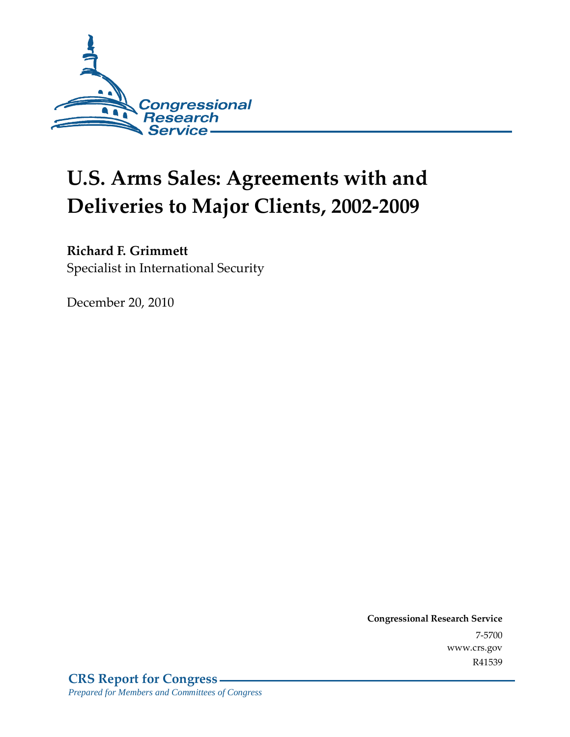

# **U.S. Arms Sales: Agreements with and Deliveries to Major Clients, 2002-2009**

### **Richard F. Grimmett**

Specialist in International Security

December 20, 2010

**Congressional Research Service** 7-5700 www.crs.gov R41539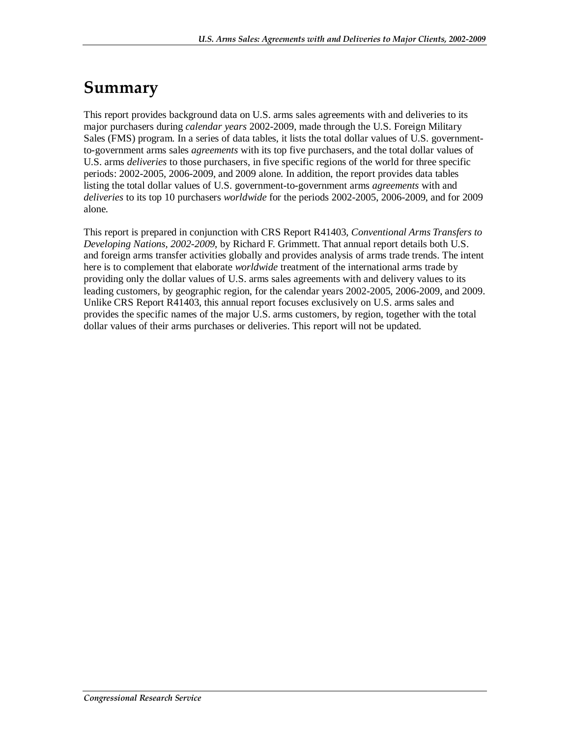## **Summary**

This report provides background data on U.S. arms sales agreements with and deliveries to its major purchasers during *calendar years* 2002-2009, made through the U.S. Foreign Military Sales (FMS) program. In a series of data tables, it lists the total dollar values of U.S. governmentto-government arms sales *agreements* with its top five purchasers, and the total dollar values of U.S. arms *deliveries* to those purchasers, in five specific regions of the world for three specific periods: 2002-2005, 2006-2009, and 2009 alone. In addition, the report provides data tables listing the total dollar values of U.S. government-to-government arms *agreements* with and *deliveries* to its top 10 purchasers *worldwide* for the periods 2002-2005, 2006-2009, and for 2009 alone.

This report is prepared in conjunction with CRS Report R41403, *Conventional Arms Transfers to Developing Nations, 2002-2009*, by Richard F. Grimmett. That annual report details both U.S. and foreign arms transfer activities globally and provides analysis of arms trade trends. The intent here is to complement that elaborate *worldwide* treatment of the international arms trade by providing only the dollar values of U.S. arms sales agreements with and delivery values to its leading customers, by geographic region, for the calendar years 2002-2005, 2006-2009, and 2009. Unlike CRS Report R41403, this annual report focuses exclusively on U.S. arms sales and provides the specific names of the major U.S. arms customers, by region, together with the total dollar values of their arms purchases or deliveries. This report will not be updated.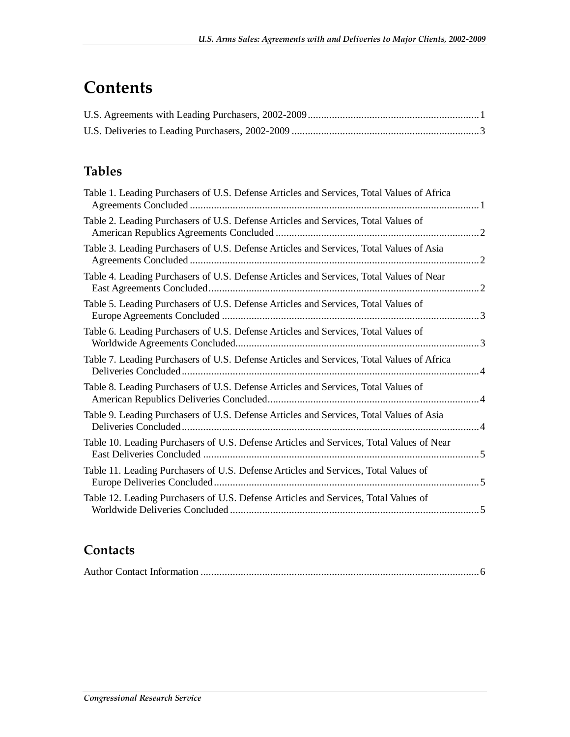## **Contents**

### **Tables**

| Table 1. Leading Purchasers of U.S. Defense Articles and Services, Total Values of Africa                                    |           |
|------------------------------------------------------------------------------------------------------------------------------|-----------|
| Table 2. Leading Purchasers of U.S. Defense Articles and Services, Total Values of                                           |           |
| Table 3. Leading Purchasers of U.S. Defense Articles and Services, Total Values of Asia                                      | $\cdot$ 2 |
| Table 4. Leading Purchasers of U.S. Defense Articles and Services, Total Values of Near                                      |           |
| Table 5. Leading Purchasers of U.S. Defense Articles and Services, Total Values of                                           |           |
| Table 6. Leading Purchasers of U.S. Defense Articles and Services, Total Values of                                           |           |
| Table 7. Leading Purchasers of U.S. Defense Articles and Services, Total Values of Africa                                    |           |
| Table 8. Leading Purchasers of U.S. Defense Articles and Services, Total Values of                                           |           |
| Table 9. Leading Purchasers of U.S. Defense Articles and Services, Total Values of Asia                                      |           |
| Table 10. Leading Purchasers of U.S. Defense Articles and Services, Total Values of Near<br><b>East Deliveries Concluded</b> |           |
| Table 11. Leading Purchasers of U.S. Defense Articles and Services, Total Values of                                          |           |
| Table 12. Leading Purchasers of U.S. Defense Articles and Services, Total Values of                                          |           |
|                                                                                                                              |           |

### **Contacts**

|--|--|--|--|--|--|--|--|--|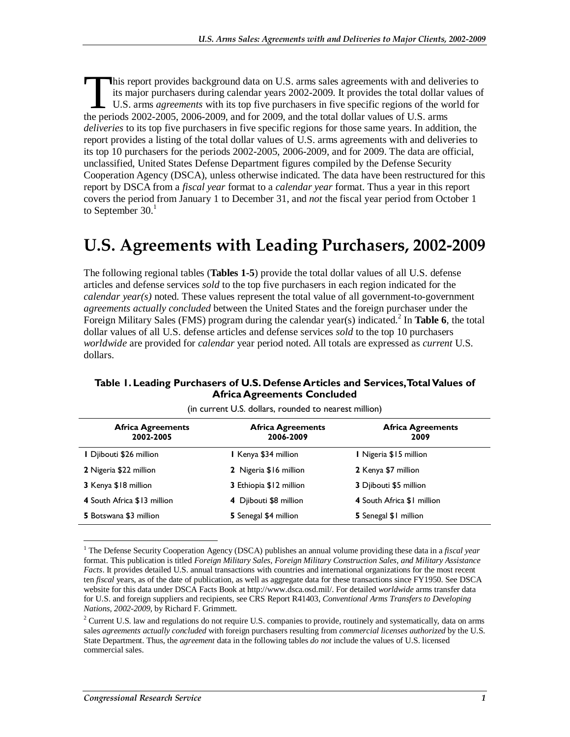his report provides background data on U.S. arms sales agreements with and deliveries to its major purchasers during calendar years 2002-2009. It provides the total dollar values of U.S. arms *agreements* with its top five purchasers in five specific regions of the world for This report provides background data on U.S. arms sales agreements with and delive<br>its major purchasers during calendar years 2002-2009. It provides the total dollar v<br>U.S. arms *agreements* with its top five purchasers in *deliveries* to its top five purchasers in five specific regions for those same years. In addition, the report provides a listing of the total dollar values of U.S. arms agreements with and deliveries to its top 10 purchasers for the periods 2002-2005, 2006-2009, and for 2009. The data are official, unclassified, United States Defense Department figures compiled by the Defense Security Cooperation Agency (DSCA), unless otherwise indicated. The data have been restructured for this report by DSCA from a *fiscal year* format to a *calendar year* format. Thus a year in this report covers the period from January 1 to December 31, and *not* the fiscal year period from October 1 to September  $30<sup>1</sup>$ 

## **U.S. Agreements with Leading Purchasers, 2002-2009**

The following regional tables (**Tables 1-5**) provide the total dollar values of all U.S. defense articles and defense services *sold* to the top five purchasers in each region indicated for the *calendar year(s)* noted. These values represent the total value of all government-to-government *agreements actually concluded* between the United States and the foreign purchaser under the Foreign Military Sales (FMS) program during the calendar year(s) indicated.<sup>2</sup> In Table 6, the total dollar values of all U.S. defense articles and defense services *sold* to the top 10 purchasers *worldwide* are provided for *calendar* year period noted. All totals are expressed as *current* U.S. dollars.

#### **Table 1. Leading Purchasers of U.S. Defense Articles and Services, Total Values of Africa Agreements Concluded**

| <b>Africa Agreements</b><br>2002-2005 | <b>Africa Agreements</b><br>2006-2009 | <b>Africa Agreements</b><br>2009 |
|---------------------------------------|---------------------------------------|----------------------------------|
| I Djibouti \$26 million               | I Kenya \$34 million                  | I Nigeria \$15 million           |
| 2 Nigeria \$22 million                | 2 Nigeria \$16 million                | 2 Kenya \$7 million              |
| 3 Kenya \$18 million                  | 3 Ethiopia \$12 million               | 3 Djibouti \$5 million           |
| 4 South Africa \$13 million           | 4 Djibouti \$8 million                | 4 South Africa \$1 million       |
| 5 Botswana \$3 million                | 5 Senegal \$4 million                 | <b>5</b> Senegal \$1 million     |

(in current U.S. dollars, rounded to nearest million)

<sup>-</sup><sup>1</sup> The Defense Security Cooperation Agency (DSCA) publishes an annual volume providing these data in a *fiscal year* format. This publication is titled *Foreign Military Sales, Foreign Military Construction Sales, and Military Assistance Facts*. It provides detailed U.S. annual transactions with countries and international organizations for the most recent ten *fiscal* years, as of the date of publication, as well as aggregate data for these transactions since FY1950. See DSCA website for this data under DSCA Facts Book at http://www.dsca.osd.mil/. For detailed *worldwide* arms transfer data for U.S. and foreign suppliers and recipients, see CRS Report R41403, *Conventional Arms Transfers to Developing Nations, 2002-2009*, by Richard F. Grimmett.

 $2$  Current U.S. law and regulations do not require U.S. companies to provide, routinely and systematically, data on arms sales *agreements actually concluded* with foreign purchasers resulting from *commercial licenses authorized* by the U.S. State Department. Thus, the *agreement* data in the following tables *do not* include the values of U.S. licensed commercial sales.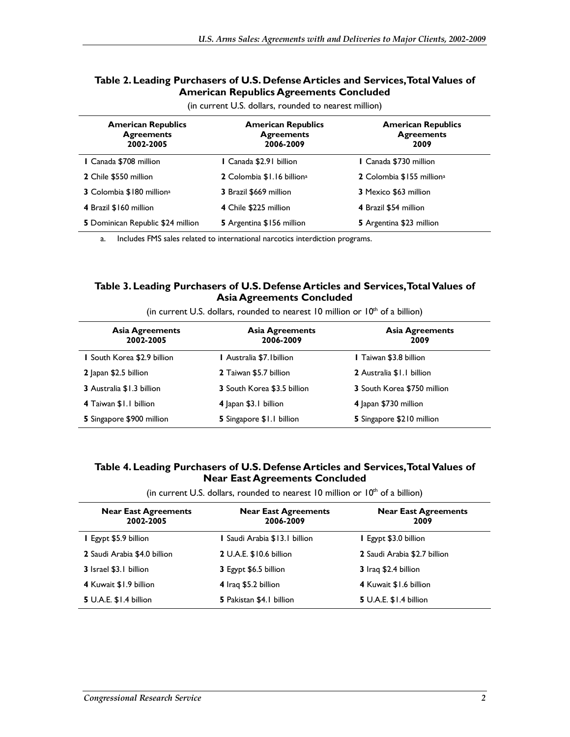#### **Table 2. Leading Purchasers of U.S. Defense Articles and Services, Total Values of American Republics Agreements Concluded**

| <b>American Republics</b><br><b>Agreements</b><br>2002-2005 | <b>American Republics</b><br><b>Agreements</b><br>2006-2009 | <b>American Republics</b><br><b>Agreements</b><br>2009 |
|-------------------------------------------------------------|-------------------------------------------------------------|--------------------------------------------------------|
| I Canada \$708 million                                      | l Canada \$2.91 billion                                     | I Canada \$730 million                                 |
| 2 Chile \$550 million                                       | 2 Colombia \$1.16 billion <sup>a</sup>                      | 2 Colombia \$155 million <sup>a</sup>                  |
| 3 Colombia \$180 million <sup>a</sup>                       | 3 Brazil \$669 million                                      | 3 Mexico \$63 million                                  |
| 4 Brazil \$160 million                                      | 4 Chile \$225 million                                       | 4 Brazil \$54 million                                  |
| 5 Dominican Republic \$24 million                           | 5 Argentina \$156 million                                   | 5 Argentina \$23 million                               |

(in current U.S. dollars, rounded to nearest million)

a. Includes FMS sales related to international narcotics interdiction programs.

#### **Table 3. Leading Purchasers of U.S. Defense Articles and Services, Total Values of Asia Agreements Concluded**

| <b>Asia Agreements</b><br>2002-2005 | <b>Asia Agreements</b><br>2006-2009 | <b>Asia Agreements</b><br>2009 |
|-------------------------------------|-------------------------------------|--------------------------------|
| I South Korea \$2.9 billion         | I Australia \$7.1billion            | <b>I</b> Taiwan \$3.8 billion  |
| 2 Japan \$2.5 billion               | 2 Taiwan \$5.7 billion              | 2 Australia \$1.1 billion      |
| 3 Australia \$1.3 billion           | 3 South Korea \$3.5 billion         | 3 South Korea \$750 million    |
| 4 Taiwan \$1.1 billion              | 4 Japan \$3.1 billion               | 4 Japan \$730 million          |
| 5 Singapore \$900 million           | 5 Singapore \$1.1 billion           | 5 Singapore \$210 million      |

(in current U.S. dollars, rounded to nearest 10 million or  $10<sup>th</sup>$  of a billion)

#### **Table 4. Leading Purchasers of U.S. Defense Articles and Services, Total Values of Near East Agreements Concluded**

(in current U.S. dollars, rounded to nearest 10 million or  $10<sup>th</sup>$  of a billion)

| <b>Near East Agreements</b><br>2002-2005 | <b>Near East Agreements</b><br>2006-2009 | <b>Near East Agreements</b><br>2009 |
|------------------------------------------|------------------------------------------|-------------------------------------|
| I Egypt \$5.9 billion                    | I Saudi Arabia \$13.1 billion            | Egypt \$3.0 billion                 |
| 2 Saudi Arabia \$4.0 billion             | 2 U.A.E. \$10.6 billion                  | 2 Saudi Arabia \$2.7 billion        |
| 3 Israel \$3.1 billion                   | 3 Egypt \$6.5 billion                    | 3 Iraq \$2.4 billion                |
| 4 Kuwait \$1.9 billion                   | 4 Iraq \$5.2 billion                     | 4 Kuwait \$1.6 billion              |
| <b>5</b> U.A.E. \$1.4 billion            | 5 Pakistan \$4.1 billion                 | <b>5</b> U.A.E. \$1.4 billion       |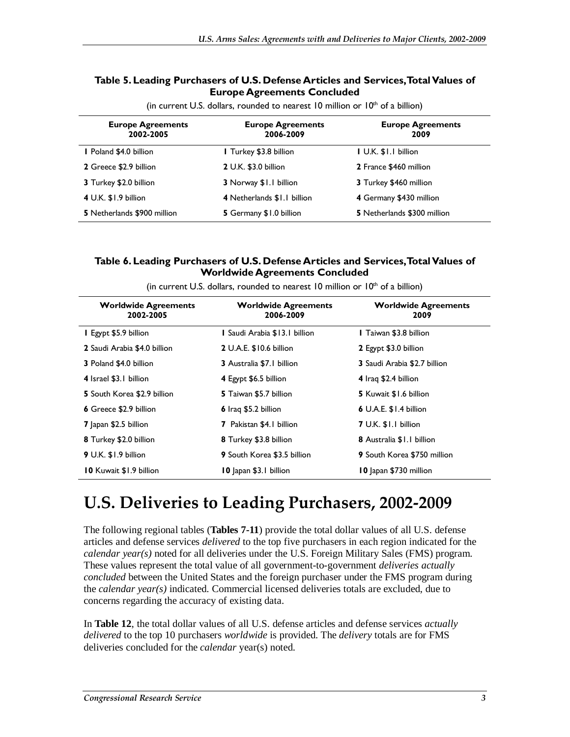#### **Table 5. Leading Purchasers of U.S. Defense Articles and Services, Total Values of Europe Agreements Concluded**

| <b>Europe Agreements</b><br>2002-2005 | <b>Europe Agreements</b><br>2006-2009 | <b>Europe Agreements</b><br>2009 |
|---------------------------------------|---------------------------------------|----------------------------------|
| <b>I</b> Poland \$4.0 billion         | I Turkey \$3.8 billion                | I U.K. \$1.1 billion             |
| 2 Greece \$2.9 billion                | 2 U.K. \$3.0 billion                  | 2 France \$460 million           |
| 3 Turkey \$2.0 billion                | 3 Norway \$1.1 billion                | 3 Turkey \$460 million           |
| 4 U.K. \$1.9 billion                  | 4 Netherlands \$1.1 billion           | 4 Germany \$430 million          |
| 5 Netherlands \$900 million           | 5 Germany \$1.0 billion               | 5 Netherlands \$300 million      |

(in current U.S. dollars, rounded to nearest 10 million or  $10<sup>th</sup>$  of a billion)

#### **Table 6. Leading Purchasers of U.S. Defense Articles and Services, Total Values of Worldwide Agreements Concluded**

| <b>Worldwide Agreements</b><br>2002-2005 | <b>Worldwide Agreements</b><br>2006-2009 | <b>Worldwide Agreements</b><br>2009 |
|------------------------------------------|------------------------------------------|-------------------------------------|
| I Egypt \$5.9 billion                    | I Saudi Arabia \$13.1 billion            | <b>I</b> Taiwan \$3.8 billion       |
| 2 Saudi Arabia \$4.0 billion             | 2 U.A.E. \$10.6 billion                  | 2 Egypt \$3.0 billion               |
| <b>3</b> Poland \$4.0 billion            | <b>3</b> Australia \$7.1 billion         | <b>3</b> Saudi Arabia \$2.7 billion |
| 4 Israel \$3.1 billion                   | 4 Egypt \$6.5 billion                    | 4 Iraq \$2.4 billion                |
| 5 South Korea \$2.9 billion              | 5 Taiwan \$5.7 billion                   | <b>5</b> Kuwait \$1.6 billion       |
| 6 Greece \$2.9 billion                   | 6 Iraq \$5.2 billion                     | $6$ U.A.E. $$1.4$ billion           |
| 7 Japan \$2.5 billion                    | <b>7</b> Pakistan \$4.1 billion          | 7 U.K. \$1.1 billion                |
| 8 Turkey \$2.0 billion                   | 8 Turkey \$3.8 billion                   | 8 Australia \$1.1 billion           |
| 9 U.K. \$1.9 billion                     | <b>9</b> South Korea \$3.5 billion       | <b>9</b> South Korea \$750 million  |
| <b>10 Kuwait \$1.9 billion</b>           | 10 apan \$3.1 billion                    | 10 Japan \$730 million              |

(in current U.S. dollars, rounded to nearest 10 million or  $10<sup>th</sup>$  of a billion)

## **U.S. Deliveries to Leading Purchasers, 2002-2009**

The following regional tables (**Tables 7-11**) provide the total dollar values of all U.S. defense articles and defense services *delivered* to the top five purchasers in each region indicated for the *calendar year(s)* noted for all deliveries under the U.S. Foreign Military Sales (FMS) program. These values represent the total value of all government-to-government *deliveries actually concluded* between the United States and the foreign purchaser under the FMS program during the *calendar year(s)* indicated. Commercial licensed deliveries totals are excluded, due to concerns regarding the accuracy of existing data.

In **Table 12**, the total dollar values of all U.S. defense articles and defense services *actually delivered* to the top 10 purchasers *worldwide* is provided. The *delivery* totals are for FMS deliveries concluded for the *calendar* year(s) noted.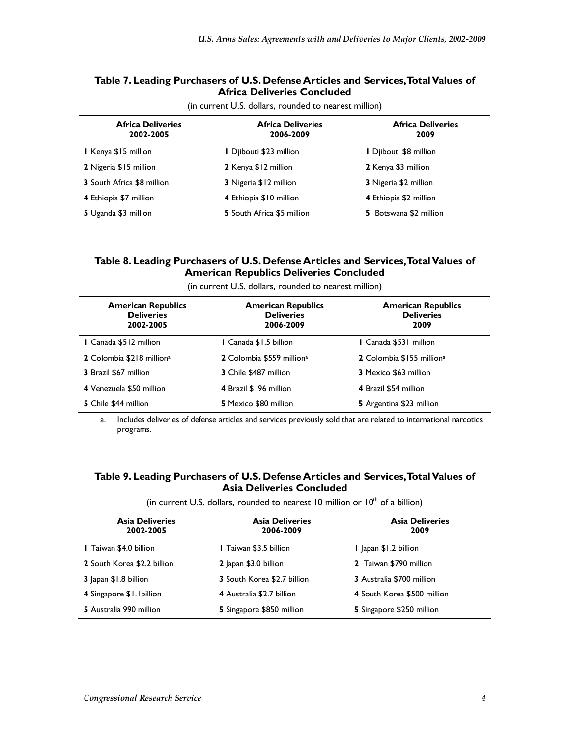#### **Table 7. Leading Purchasers of U.S. Defense Articles and Services, Total Values of Africa Deliveries Concluded**

| <b>Africa Deliveries</b><br>2002-2005 | <b>Africa Deliveries</b><br>2006-2009 | <b>Africa Deliveries</b><br>2009 |
|---------------------------------------|---------------------------------------|----------------------------------|
| I Kenya \$15 million                  | I Djibouti \$23 million               | I Djibouti \$8 million           |
| 2 Nigeria \$15 million                | 2 Kenya \$12 million                  | 2 Kenya \$3 million              |
| <b>3</b> South Africa \$8 million     | 3 Nigeria \$12 million                | 3 Nigeria \$2 million            |
| 4 Ethiopia \$7 million                | 4 Ethiopia \$10 million               | 4 Ethiopia \$2 million           |
| 5 Uganda \$3 million                  | <b>5</b> South Africa \$5 million     | 5 Botswana \$2 million           |

(in current U.S. dollars, rounded to nearest million)

#### **Table 8. Leading Purchasers of U.S. Defense Articles and Services, Total Values of American Republics Deliveries Concluded**

| <b>American Republics</b><br><b>Deliveries</b><br>2002-2005 | <b>American Republics</b><br><b>Deliveries</b><br>2006-2009 | <b>American Republics</b><br><b>Deliveries</b><br>2009 |
|-------------------------------------------------------------|-------------------------------------------------------------|--------------------------------------------------------|
| <b>I</b> Canada \$512 million                               | I Canada \$1.5 billion                                      | I Canada \$531 million                                 |
| 2 Colombia \$218 million <sup>a</sup>                       | 2 Colombia \$559 million <sup>a</sup>                       | 2 Colombia \$155 million <sup>a</sup>                  |
| 3 Brazil \$67 million                                       | 3 Chile \$487 million                                       | <b>3</b> Mexico \$63 million                           |
| 4 Venezuela \$50 million                                    | 4 Brazil \$196 million                                      | 4 Brazil \$54 million                                  |
| 5 Chile \$44 million                                        | 5 Mexico \$80 million                                       | 5 Argentina \$23 million                               |

(in current U.S. dollars, rounded to nearest million)

a. Includes deliveries of defense articles and services previously sold that are related to international narcotics programs.

#### **Table 9. Leading Purchasers of U.S. Defense Articles and Services, Total Values of Asia Deliveries Concluded**

(in current U.S. dollars, rounded to nearest 10 million or  $10<sup>th</sup>$  of a billion)

| <b>Asia Deliveries</b><br>2002-2005 | <b>Asia Deliveries</b><br>2006-2009 | <b>Asia Deliveries</b><br>2009   |
|-------------------------------------|-------------------------------------|----------------------------------|
| <b>I</b> Taiwan \$4.0 billion       | I Taiwan \$3.5 billion              | Japan \$1.2 billion              |
| 2 South Korea \$2.2 billion         | 2 Japan \$3.0 billion               | 2 Taiwan \$790 million           |
| 3 Japan \$1.8 billion               | <b>3</b> South Korea \$2.7 billion  | <b>3</b> Australia \$700 million |
| 4 Singapore \$1.1 billion           | 4 Australia \$2.7 billion           | 4 South Korea \$500 million      |
| 5 Australia 990 million             | 5 Singapore \$850 million           | 5 Singapore \$250 million        |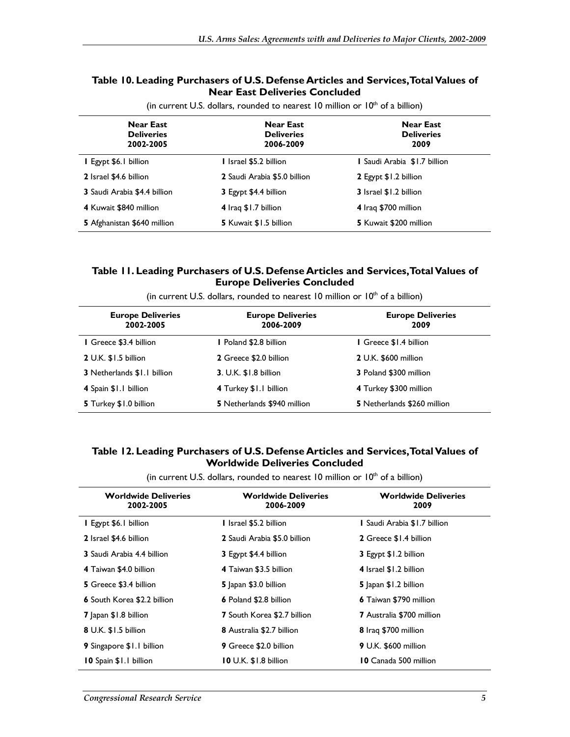#### **Table 10. Leading Purchasers of U.S. Defense Articles and Services, Total Values of Near East Deliveries Concluded**

| <b>Near East</b><br><b>Deliveries</b><br>2002-2005 | <b>Near East</b><br><b>Deliveries</b><br>2006-2009 | <b>Near East</b><br><b>Deliveries</b><br>2009 |
|----------------------------------------------------|----------------------------------------------------|-----------------------------------------------|
| <b>I</b> Egypt \$6.1 billion                       | 1 Israel \$5.2 billion                             | I Saudi Arabia \$1.7 billion                  |
| 2 Israel \$4.6 billion                             | 2 Saudi Arabia \$5.0 billion                       | 2 Egypt \$1.2 billion                         |
| 3 Saudi Arabia \$4.4 billion                       | 3 Egypt \$4.4 billion                              | <b>3</b> Israel \$1.2 billion                 |
| 4 Kuwait \$840 million                             | 4 Iraq \$1.7 billion                               | 4 Iraq \$700 million                          |
| 5 Afghanistan \$640 million                        | <b>5</b> Kuwait \$1.5 billion                      | 5 Kuwait \$200 million                        |

(in current U.S. dollars, rounded to nearest 10 million or  $10<sup>th</sup>$  of a billion)

#### **Table 11. Leading Purchasers of U.S. Defense Articles and Services, Total Values of Europe Deliveries Concluded**

| <b>Europe Deliveries</b><br>2002-2005 | <b>Europe Deliveries</b><br>2006-2009 | <b>Europe Deliveries</b><br>2009 |
|---------------------------------------|---------------------------------------|----------------------------------|
| I Greece \$3.4 billion                | Poland \$2.8 billion                  | I Greece \$1.4 billion           |
| 2 U.K. \$1.5 billion                  | 2 Greece \$2.0 billion                | 2 U.K. \$600 million             |
| <b>3</b> Netherlands \$1.1 billion    | 3. U.K. \$1.8 billion                 | 3 Poland \$300 million           |
| 4 Spain \$1.1 billion                 | 4 Turkey \$1.1 billion                | 4 Turkey \$300 million           |
| 5 Turkey \$1.0 billion                | 5 Netherlands \$940 million           | 5 Netherlands \$260 million      |

(in current U.S. dollars, rounded to nearest 10 million or  $10<sup>th</sup>$  of a billion)

#### **Table 12. Leading Purchasers of U.S. Defense Articles and Services, Total Values of Worldwide Deliveries Concluded**

(in current U.S. dollars, rounded to nearest 10 million or  $10<sup>th</sup>$  of a billion)

| <b>Worldwide Deliveries</b>        | <b>Worldwide Deliveries</b>        | <b>Worldwide Deliveries</b><br>2009 |  |
|------------------------------------|------------------------------------|-------------------------------------|--|
| 2002-2005                          | 2006-2009                          |                                     |  |
| <b>I</b> Egypt \$6.1 billion       | I Israel \$5.2 billion             | I Saudi Arabia \$1.7 billion        |  |
| 2 Israel \$4.6 billion             | 2 Saudi Arabia \$5.0 billion       | 2 Greece \$1.4 billion              |  |
| 3 Saudi Arabia 4.4 billion         | 3 Egypt \$4.4 billion              | 3 Egypt \$1.2 billion               |  |
| 4 Taiwan \$4.0 billion             | 4 Taiwan \$3.5 billion             | 4 Israel \$1.2 billion              |  |
| 5 Greece \$3.4 billion             | 5 Japan \$3.0 billion              | 5 apan \$1.2 billion                |  |
| <b>6</b> South Korea \$2.2 billion | <b>6</b> Poland \$2.8 billion      | 6 Taiwan \$790 million              |  |
| <b>7</b> Japan \$1.8 billion       | <b>7</b> South Korea \$2.7 billion | <b>7</b> Australia \$700 million    |  |
| 8 U.K. \$1.5 billion               | 8 Australia \$2.7 billion          | 8 Iraq \$700 million                |  |
| 9 Singapore \$1.1 billion          | 9 Greece \$2.0 billion             | 9 U.K. \$600 million                |  |
| 10 Spain \$1.1 billion             | 10 U.K. \$1.8 billion              | <b>10 Canada 500 million</b>        |  |